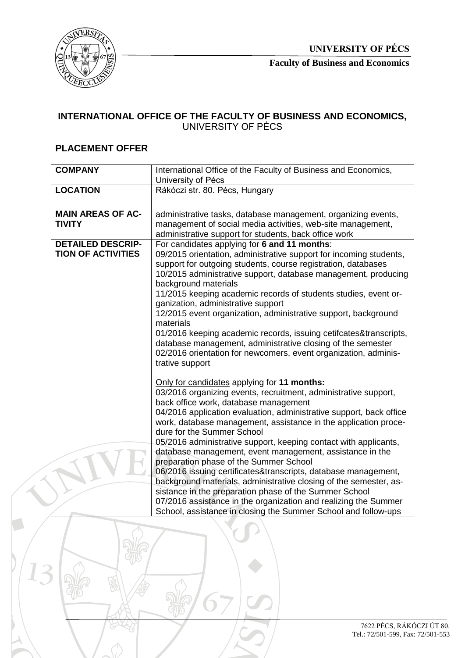

**Faculty of Business and Economics**

## **INTERNATIONAL OFFICE OF THE FACULTY OF BUSINESS AND ECONOMICS,**  UNIVERSITY OF PÉCS

## **PLACEMENT OFFER**

| <b>COMPANY</b>            | International Office of the Faculty of Business and Economics,      |
|---------------------------|---------------------------------------------------------------------|
|                           | University of Pécs                                                  |
| <b>LOCATION</b>           | Rákóczi str. 80. Pécs, Hungary                                      |
|                           |                                                                     |
| <b>MAIN AREAS OF AC-</b>  | administrative tasks, database management, organizing events,       |
| <b>TIVITY</b>             | management of social media activities, web-site management,         |
|                           | administrative support for students, back office work               |
| <b>DETAILED DESCRIP-</b>  | For candidates applying for 6 and 11 months:                        |
| <b>TION OF ACTIVITIES</b> | 09/2015 orientation, administrative support for incoming students,  |
|                           | support for outgoing students, course registration, databases       |
|                           | 10/2015 administrative support, database management, producing      |
|                           | background materials                                                |
|                           | 11/2015 keeping academic records of students studies, event or-     |
|                           | ganization, administrative support                                  |
|                           | 12/2015 event organization, administrative support, background      |
|                           | materials                                                           |
|                           | 01/2016 keeping academic records, issuing cetifcates&transcripts,   |
|                           | database management, administrative closing of the semester         |
|                           | 02/2016 orientation for newcomers, event organization, adminis-     |
|                           | trative support                                                     |
|                           |                                                                     |
|                           | Only for candidates applying for 11 months:                         |
|                           | 03/2016 organizing events, recruitment, administrative support,     |
|                           | back office work, database management                               |
|                           | 04/2016 application evaluation, administrative support, back office |
|                           | work, database management, assistance in the application proce-     |
|                           | dure for the Summer School                                          |
|                           | 05/2016 administrative support, keeping contact with applicants,    |
|                           | database management, event management, assistance in the            |
|                           | preparation phase of the Summer School                              |
|                           | 06/2016 issuing certificates&transcripts, database management,      |
|                           | background materials, administrative closing of the semester, as-   |
|                           | sistance in the preparation phase of the Summer School              |
|                           | 07/2016 assistance in the organization and realizing the Summer     |
|                           | School, assistance in closing the Summer School and follow-ups      |

Ĭ.